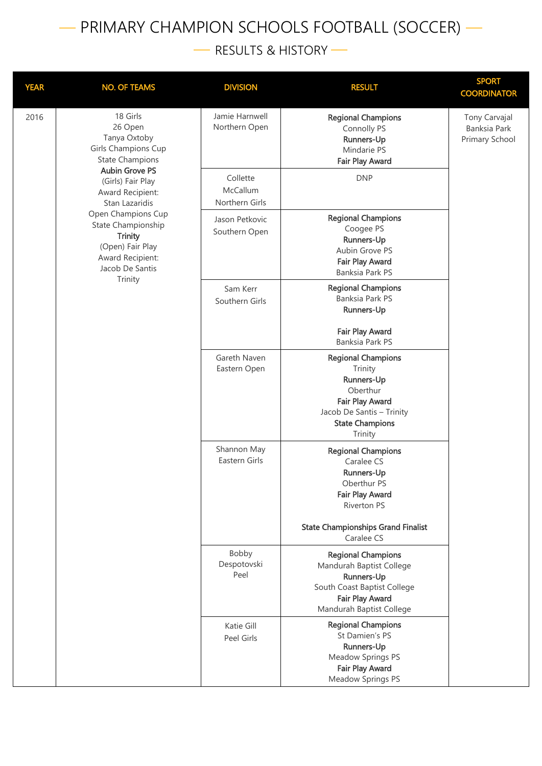## — PRIMARY CHAMPION SCHOOLS FOOTBALL (SOCCER) —

— RESULTS & HISTORY —

| <b>YEAR</b> | <b>NO. OF TEAMS</b>                                                                                                   | <b>DIVISION</b>                        | <b>RESULT</b>                                                                                                                                       | <b>SPORT</b><br><b>COORDINATOR</b>              |
|-------------|-----------------------------------------------------------------------------------------------------------------------|----------------------------------------|-----------------------------------------------------------------------------------------------------------------------------------------------------|-------------------------------------------------|
| 2016        | 18 Girls<br>26 Open<br>Tanya Oxtoby<br>Girls Champions Cup<br><b>State Champions</b>                                  | Jamie Harnwell<br>Northern Open        | <b>Regional Champions</b><br>Connolly PS<br>Runners-Up<br>Mindarie PS<br>Fair Play Award                                                            | Tony Carvajal<br>Banksia Park<br>Primary School |
|             | <b>Aubin Grove PS</b><br>(Girls) Fair Play<br>Award Recipient:<br>Stan Lazaridis                                      | Collette<br>McCallum<br>Northern Girls | <b>DNP</b>                                                                                                                                          |                                                 |
|             | Open Champions Cup<br>State Championship<br><b>Trinity</b><br>(Open) Fair Play<br>Award Recipient:<br>Jacob De Santis | Jason Petkovic<br>Southern Open        | <b>Regional Champions</b><br>Coogee PS<br>Runners-Up<br>Aubin Grove PS<br>Fair Play Award<br><b>Banksia Park PS</b>                                 |                                                 |
|             | Trinity                                                                                                               | Sam Kerr<br>Southern Girls             | <b>Regional Champions</b><br>Banksia Park PS<br>Runners-Up                                                                                          |                                                 |
|             |                                                                                                                       |                                        | Fair Play Award<br>Banksia Park PS                                                                                                                  |                                                 |
|             |                                                                                                                       | Gareth Naven<br>Eastern Open           | <b>Regional Champions</b><br>Trinity<br>Runners-Up<br>Oberthur<br>Fair Play Award<br>Jacob De Santis - Trinity<br><b>State Champions</b><br>Trinity |                                                 |
|             |                                                                                                                       | Shannon May<br>Eastern Girls           | <b>Regional Champions</b><br>Caralee CS<br>Runners-Up<br>Oberthur PS<br><b>Fair Play Award</b><br><b>Riverton PS</b>                                |                                                 |
|             |                                                                                                                       |                                        | <b>State Championships Grand Finalist</b><br>Caralee CS                                                                                             |                                                 |
|             |                                                                                                                       | Bobby<br>Despotovski<br>Peel           | <b>Regional Champions</b><br>Mandurah Baptist College<br>Runners-Up<br>South Coast Baptist College<br>Fair Play Award<br>Mandurah Baptist College   |                                                 |
|             |                                                                                                                       | Katie Gill<br>Peel Girls               | <b>Regional Champions</b><br>St Damien's PS<br>Runners-Up<br>Meadow Springs PS<br>Fair Play Award<br>Meadow Springs PS                              |                                                 |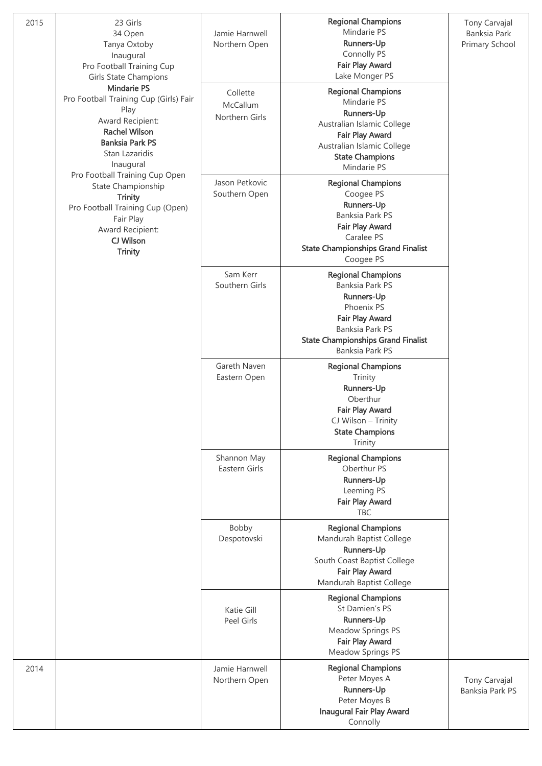| 2015 | 23 Girls<br>34 Open<br>Tanya Oxtoby<br>Inaugural<br>Pro Football Training Cup<br><b>Girls State Champions</b>                                                                                                                                                                                                                                           | Jamie Harnwell<br>Northern Open        | <b>Regional Champions</b><br>Mindarie PS<br>Runners-Up<br>Connolly PS<br><b>Fair Play Award</b><br>Lake Monger PS                                                                            | Tony Carvajal<br>Banksia Park<br>Primary School |
|------|---------------------------------------------------------------------------------------------------------------------------------------------------------------------------------------------------------------------------------------------------------------------------------------------------------------------------------------------------------|----------------------------------------|----------------------------------------------------------------------------------------------------------------------------------------------------------------------------------------------|-------------------------------------------------|
|      | <b>Mindarie PS</b><br>Pro Football Training Cup (Girls) Fair<br>Play<br>Award Recipient:<br><b>Rachel Wilson</b><br><b>Banksia Park PS</b><br>Stan Lazaridis<br>Inaugural<br>Pro Football Training Cup Open<br>State Championship<br><b>Trinity</b><br>Pro Football Training Cup (Open)<br>Fair Play<br>Award Recipient:<br>CJ Wilson<br><b>Trinity</b> | Collette<br>McCallum<br>Northern Girls | <b>Regional Champions</b><br>Mindarie PS<br>Runners-Up<br>Australian Islamic College<br>Fair Play Award<br>Australian Islamic College<br><b>State Champions</b><br>Mindarie PS               |                                                 |
|      |                                                                                                                                                                                                                                                                                                                                                         | Jason Petkovic<br>Southern Open        | <b>Regional Champions</b><br>Coogee PS<br>Runners-Up<br>Banksia Park PS<br>Fair Play Award<br>Caralee PS<br><b>State Championships Grand Finalist</b><br>Coogee PS                           |                                                 |
|      |                                                                                                                                                                                                                                                                                                                                                         | Sam Kerr<br>Southern Girls             | <b>Regional Champions</b><br>Banksia Park PS<br><b>Runners-Up</b><br>Phoenix PS<br><b>Fair Play Award</b><br>Banksia Park PS<br><b>State Championships Grand Finalist</b><br>Banksia Park PS |                                                 |
|      |                                                                                                                                                                                                                                                                                                                                                         | Gareth Naven<br>Eastern Open           | <b>Regional Champions</b><br>Trinity<br><b>Runners-Up</b><br>Oberthur<br><b>Fair Play Award</b><br>CJ Wilson - Trinity<br><b>State Champions</b><br>Trinity                                  |                                                 |
|      |                                                                                                                                                                                                                                                                                                                                                         | Shannon May<br>Eastern Girls           | <b>Regional Champions</b><br>Oberthur PS<br>Runners-Up<br>Leeming PS<br><b>Fair Play Award</b><br><b>TBC</b>                                                                                 |                                                 |
|      |                                                                                                                                                                                                                                                                                                                                                         | Bobby<br>Despotovski                   | <b>Regional Champions</b><br>Mandurah Baptist College<br>Runners-Up<br>South Coast Baptist College<br>Fair Play Award<br>Mandurah Baptist College                                            |                                                 |
|      |                                                                                                                                                                                                                                                                                                                                                         | Katie Gill<br>Peel Girls               | <b>Regional Champions</b><br>St Damien's PS<br><b>Runners-Up</b><br>Meadow Springs PS<br>Fair Play Award<br>Meadow Springs PS                                                                |                                                 |
| 2014 |                                                                                                                                                                                                                                                                                                                                                         | Jamie Harnwell<br>Northern Open        | <b>Regional Champions</b><br>Peter Moyes A<br>Runners-Up<br>Peter Moyes B<br><b>Inaugural Fair Play Award</b><br>Connolly                                                                    | Tony Carvajal<br>Banksia Park PS                |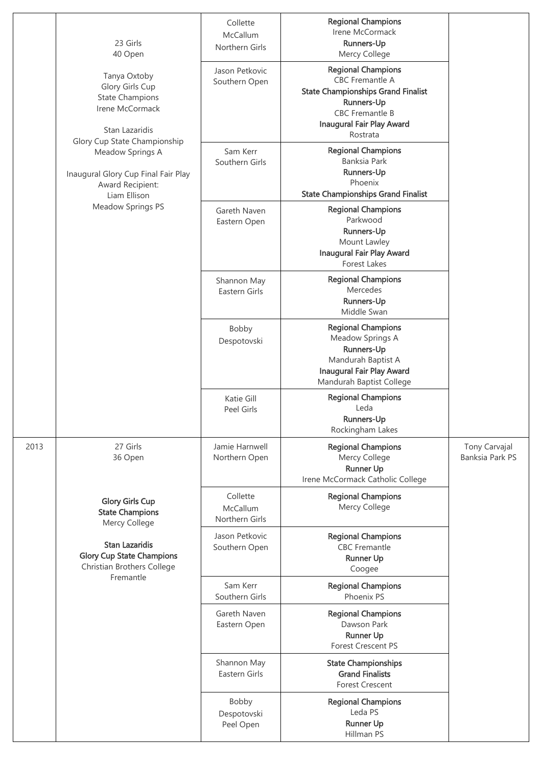|      | 23 Girls<br>40 Open                                                                                                                                                                                                           | Collette<br>McCallum<br>Northern Girls | <b>Regional Champions</b><br>Irene McCormack<br>Runners-Up<br>Mercy College                                                                                                              |                                         |
|------|-------------------------------------------------------------------------------------------------------------------------------------------------------------------------------------------------------------------------------|----------------------------------------|------------------------------------------------------------------------------------------------------------------------------------------------------------------------------------------|-----------------------------------------|
|      | Tanya Oxtoby<br>Glory Girls Cup<br><b>State Champions</b><br>Irene McCormack<br>Stan Lazaridis<br>Glory Cup State Championship<br>Meadow Springs A<br>Inaugural Glory Cup Final Fair Play<br>Award Recipient:<br>Liam Ellison | Jason Petkovic<br>Southern Open        | <b>Regional Champions</b><br><b>CBC</b> Fremantle A<br><b>State Championships Grand Finalist</b><br>Runners-Up<br><b>CBC</b> Fremantle B<br><b>Inaugural Fair Play Award</b><br>Rostrata |                                         |
|      |                                                                                                                                                                                                                               | Sam Kerr<br>Southern Girls             | <b>Regional Champions</b><br>Banksia Park<br>Runners-Up<br>Phoenix<br><b>State Championships Grand Finalist</b>                                                                          |                                         |
|      | <b>Meadow Springs PS</b>                                                                                                                                                                                                      | Gareth Naven<br>Eastern Open           | <b>Regional Champions</b><br>Parkwood<br>Runners-Up<br>Mount Lawley<br><b>Inaugural Fair Play Award</b><br>Forest Lakes                                                                  |                                         |
|      |                                                                                                                                                                                                                               | Shannon May<br>Eastern Girls           | <b>Regional Champions</b><br>Mercedes<br>Runners-Up<br>Middle Swan                                                                                                                       |                                         |
|      |                                                                                                                                                                                                                               | Bobby<br>Despotovski                   | <b>Regional Champions</b><br>Meadow Springs A<br>Runners-Up<br>Mandurah Baptist A<br><b>Inaugural Fair Play Award</b><br>Mandurah Baptist College                                        |                                         |
|      |                                                                                                                                                                                                                               | Katie Gill<br>Peel Girls               | <b>Regional Champions</b><br>Leda<br>Runners-Up<br>Rockingham Lakes                                                                                                                      |                                         |
| 2013 | 27 Girls<br>36 Open                                                                                                                                                                                                           | Jamie Harnwell<br>Northern Open        | <b>Regional Champions</b><br>Mercy College<br><b>Runner Up</b><br>Irene McCormack Catholic College                                                                                       | Tony Carvajal<br><b>Banksia Park PS</b> |
|      | <b>Glory Girls Cup</b><br><b>State Champions</b><br>Mercy College                                                                                                                                                             | Collette<br>McCallum<br>Northern Girls | <b>Regional Champions</b><br>Mercy College                                                                                                                                               |                                         |
|      | <b>Stan Lazaridis</b><br><b>Glory Cup State Champions</b><br>Christian Brothers College<br>Fremantle                                                                                                                          | Jason Petkovic<br>Southern Open        | <b>Regional Champions</b><br><b>CBC</b> Fremantle<br><b>Runner Up</b><br>Coogee                                                                                                          |                                         |
|      |                                                                                                                                                                                                                               | Sam Kerr<br>Southern Girls             | <b>Regional Champions</b><br>Phoenix PS                                                                                                                                                  |                                         |
|      |                                                                                                                                                                                                                               | Gareth Naven<br>Eastern Open           | <b>Regional Champions</b><br>Dawson Park<br><b>Runner Up</b><br><b>Forest Crescent PS</b>                                                                                                |                                         |
|      |                                                                                                                                                                                                                               | Shannon May<br>Eastern Girls           | <b>State Championships</b><br><b>Grand Finalists</b><br><b>Forest Crescent</b>                                                                                                           |                                         |
|      |                                                                                                                                                                                                                               | Bobby<br>Despotovski<br>Peel Open      | <b>Regional Champions</b><br>Leda PS<br><b>Runner Up</b><br>Hillman PS                                                                                                                   |                                         |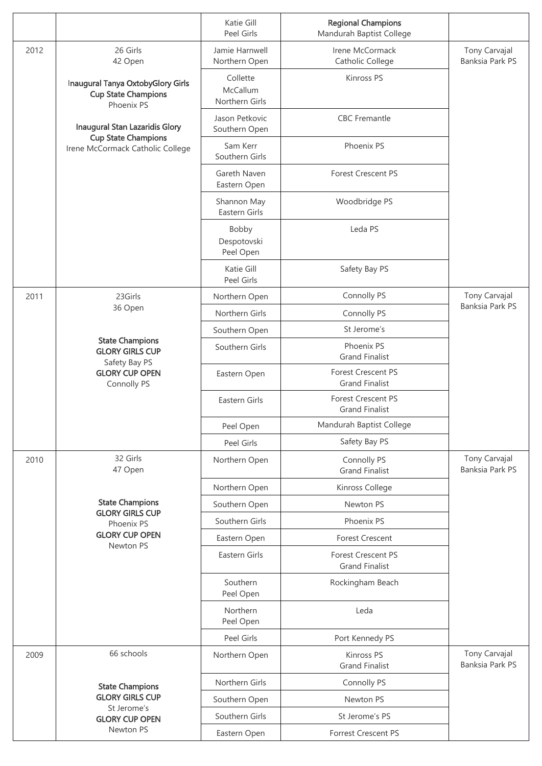|      |                                                                                                      | Katie Gill<br>Peel Girls               | <b>Regional Champions</b><br>Mandurah Baptist College |                                  |
|------|------------------------------------------------------------------------------------------------------|----------------------------------------|-------------------------------------------------------|----------------------------------|
| 2012 | 26 Girls<br>42 Open<br>Inaugural Tanya OxtobyGlory Girls<br><b>Cup State Champions</b><br>Phoenix PS | Jamie Harnwell<br>Northern Open        | Irene McCormack<br>Catholic College                   | Tony Carvajal<br>Banksia Park PS |
|      |                                                                                                      | Collette<br>McCallum<br>Northern Girls | Kinross PS                                            |                                  |
|      | Inaugural Stan Lazaridis Glory<br><b>Cup State Champions</b><br>Irene McCormack Catholic College     | Jason Petkovic<br>Southern Open        | <b>CBC</b> Fremantle                                  |                                  |
|      |                                                                                                      | Sam Kerr<br>Southern Girls             | Phoenix PS                                            |                                  |
|      |                                                                                                      | Gareth Naven<br>Eastern Open           | <b>Forest Crescent PS</b>                             |                                  |
|      |                                                                                                      | Shannon May<br>Eastern Girls           | Woodbridge PS                                         |                                  |
|      |                                                                                                      | Bobby<br>Despotovski<br>Peel Open      | Leda PS                                               |                                  |
|      |                                                                                                      | Katie Gill<br>Peel Girls               | Safety Bay PS                                         |                                  |
| 2011 | 23Girls                                                                                              | Northern Open                          | Connolly PS                                           | Tony Carvajal                    |
|      | 36 Open                                                                                              | Northern Girls                         | Connolly PS                                           | <b>Banksia Park PS</b>           |
|      |                                                                                                      | Southern Open                          | St Jerome's                                           |                                  |
|      | <b>State Champions</b><br><b>GLORY GIRLS CUP</b><br>Safety Bay PS                                    | Southern Girls                         | Phoenix PS<br><b>Grand Finalist</b>                   |                                  |
|      | <b>GLORY CUP OPEN</b><br>Connolly PS                                                                 | Eastern Open                           | <b>Forest Crescent PS</b><br><b>Grand Finalist</b>    |                                  |
|      |                                                                                                      | Eastern Girls                          | <b>Forest Crescent PS</b><br><b>Grand Finalist</b>    |                                  |
|      |                                                                                                      | Peel Open                              | Mandurah Baptist College                              |                                  |
|      |                                                                                                      | Peel Girls                             | Safety Bay PS                                         |                                  |
| 2010 | 32 Girls<br>47 Open                                                                                  | Northern Open                          | Connolly PS<br><b>Grand Finalist</b>                  | Tony Carvajal<br>Banksia Park PS |
|      |                                                                                                      | Northern Open                          | Kinross College                                       |                                  |
|      | <b>State Champions</b><br><b>GLORY GIRLS CUP</b>                                                     | Southern Open                          | Newton PS                                             |                                  |
|      | Phoenix PS                                                                                           | Southern Girls                         | Phoenix PS                                            |                                  |
|      | <b>GLORY CUP OPEN</b><br>Newton PS                                                                   | Eastern Open                           | <b>Forest Crescent</b>                                |                                  |
|      |                                                                                                      | Eastern Girls                          | <b>Forest Crescent PS</b><br><b>Grand Finalist</b>    |                                  |
|      |                                                                                                      | Southern<br>Peel Open                  | Rockingham Beach                                      |                                  |
|      |                                                                                                      | Northern<br>Peel Open                  | Leda                                                  |                                  |
|      |                                                                                                      | Peel Girls                             | Port Kennedy PS                                       |                                  |
| 2009 | 66 schools                                                                                           | Northern Open                          | Kinross PS<br><b>Grand Finalist</b>                   | Tony Carvajal<br>Banksia Park PS |
|      | <b>State Champions</b><br><b>GLORY GIRLS CUP</b><br>St Jerome's<br><b>GLORY CUP OPEN</b>             | Northern Girls                         | Connolly PS                                           |                                  |
|      |                                                                                                      | Southern Open                          | Newton PS                                             |                                  |
|      |                                                                                                      | Southern Girls                         | St Jerome's PS                                        |                                  |
|      | Newton PS                                                                                            | Eastern Open                           | <b>Forrest Crescent PS</b>                            |                                  |